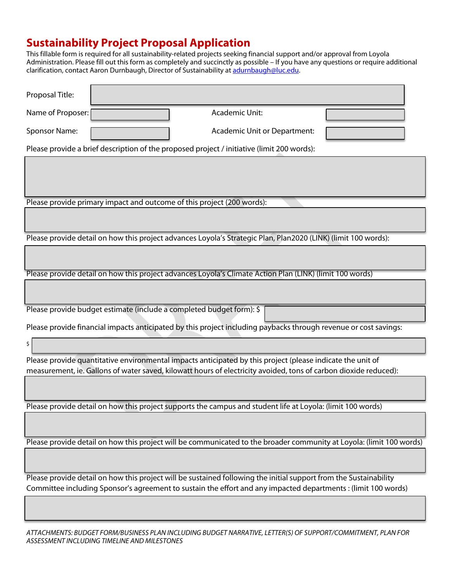## **Sustainability Project Proposal Application**

This fillable form is required for all sustainability-related projects seeking financial support and/or approval from Loyola Administration. Please fill out this form as completely and succinctly as possible – If you have any questions or require additional clarification, contact Aaron Durnbaugh, Director of Sustainability at [adurnbaugh@luc.edu.](mailto:adurnbaugh@luc.edu)

| Proposal Title:                                                                                                      |  |  |  |  |
|----------------------------------------------------------------------------------------------------------------------|--|--|--|--|
| Name of Proposer:<br>Academic Unit:                                                                                  |  |  |  |  |
| Sponsor Name:<br>Academic Unit or Department:                                                                        |  |  |  |  |
| Please provide a brief description of the proposed project / initiative (limit 200 words):                           |  |  |  |  |
|                                                                                                                      |  |  |  |  |
|                                                                                                                      |  |  |  |  |
| Please provide primary impact and outcome of this project (200 words):                                               |  |  |  |  |
|                                                                                                                      |  |  |  |  |
| Please provide detail on how this project advances Loyola's Strategic Plan, Plan2020 (LINK) (limit 100 words):       |  |  |  |  |
|                                                                                                                      |  |  |  |  |
| Please provide detail on how this project advances Loyola's Climate Action Plan (LINK) (limit 100 words)             |  |  |  |  |
|                                                                                                                      |  |  |  |  |
| Please provide budget estimate (include a completed budget form): \$                                                 |  |  |  |  |
| Please provide financial impacts anticipated by this project including paybacks through revenue or cost savings:     |  |  |  |  |
| \$                                                                                                                   |  |  |  |  |
| Please provide quantitative environmental impacts anticipated by this project (please indicate the unit of           |  |  |  |  |
| measurement, ie. Gallons of water saved, kilowatt hours of electricity avoided, tons of carbon dioxide reduced):     |  |  |  |  |
|                                                                                                                      |  |  |  |  |
| Please provide detail on how this project supports the campus and student life at Loyola: (limit 100 words)          |  |  |  |  |
|                                                                                                                      |  |  |  |  |
| Please provide detail on how this project will be communicated to the broader community at Loyola: (limit 100 words) |  |  |  |  |
|                                                                                                                      |  |  |  |  |
| Please provide detail on how this project will be sustained following the initial support from the Sustainability    |  |  |  |  |
| Committee including Sponsor's agreement to sustain the effort and any impacted departments : (limit 100 words)       |  |  |  |  |
|                                                                                                                      |  |  |  |  |

*ATTACHMENTS: BUDGET FORM/BUSINESS PLAN INCLUDING BUDGET NARRATIVE, LETTER(S) OF SUPPORT/COMMITMENT, PLAN FOR ASSESSMENT INCLUDING TIMELINE AND MILESTONES*